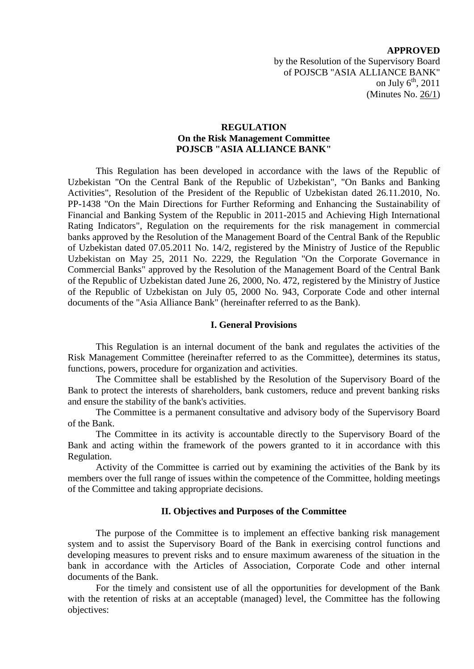### **APPROVED**

by the Resolution of the Supervisory Board of POJSCB "ASIA ALLIANCE BANK" on July 6<sup>th</sup>, 2011 (Minutes No. 26/1)

## **REGULATION On the Risk Management Committee POJSCB "ASIA ALLIANCE BANK"**

This Regulation has been developed in accordance with the laws of the Republic of Uzbekistan "On the Central Bank of the Republic of Uzbekistan", "On Banks and Banking Activities", Resolution of the President of the Republic of Uzbekistan dated 26.11.2010, No. PP-1438 "On the Main Directions for Further Reforming and Enhancing the Sustainability of Financial and Banking System of the Republic in 2011-2015 and Achieving High International Rating Indicators", Regulation on the requirements for the risk management in commercial banks approved by the Resolution of the Management Board of the Central Bank of the Republic of Uzbekistan dated 07.05.2011 No. 14/2, registered by the Ministry of Justice of the Republic Uzbekistan on May 25, 2011 No. 2229, the Regulation "On the Corporate Governance in Commercial Banks" approved by the Resolution of the Management Board of the Central Bank of the Republic of Uzbekistan dated June 26, 2000, No. 472, registered by the Ministry of Justice of the Republic of Uzbekistan on July 05, 2000 No. 943, Corporate Code and other internal documents of the "Asia Alliance Bank" (hereinafter referred to as the Bank).

#### **I. General Provisions**

This Regulation is an internal document of the bank and regulates the activities of the Risk Management Committee (hereinafter referred to as the Committee), determines its status, functions, powers, procedure for organization and activities.

The Committee shall be established by the Resolution of the Supervisory Board of the Bank to protect the interests of shareholders, bank customers, reduce and prevent banking risks and ensure the stability of the bank's activities.

The Committee is a permanent consultative and advisory body of the Supervisory Board of the Bank.

The Committee in its activity is accountable directly to the Supervisory Board of the Bank and acting within the framework of the powers granted to it in accordance with this Regulation.

Activity of the Committee is carried out by examining the activities of the Bank by its members over the full range of issues within the competence of the Committee, holding meetings of the Committee and taking appropriate decisions.

### **II. Objectives and Purposes of the Committee**

The purpose of the Committee is to implement an effective banking risk management system and to assist the Supervisory Board of the Bank in exercising control functions and developing measures to prevent risks and to ensure maximum awareness of the situation in the bank in accordance with the Articles of Association, Corporate Code and other internal documents of the Bank.

For the timely and consistent use of all the opportunities for development of the Bank with the retention of risks at an acceptable (managed) level, the Committee has the following objectives: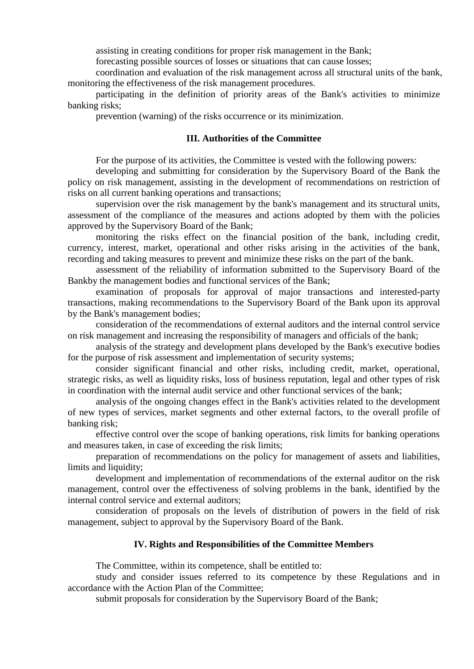assisting in creating conditions for proper risk management in the Bank;

forecasting possible sources of losses or situations that can cause losses;

coordination and evaluation of the risk management across all structural units of the bank, monitoring the effectiveness of the risk management procedures.

participating in the definition of priority areas of the Bank's activities to minimize banking risks;

prevention (warning) of the risks occurrence or its minimization.

# **III. Authorities of the Committee**

For the purpose of its activities, the Committee is vested with the following powers:

developing and submitting for consideration by the Supervisory Board of the Bank the policy on risk management, assisting in the development of recommendations on restriction of risks on all current banking operations and transactions;

supervision over the risk management by the bank's management and its structural units, assessment of the compliance of the measures and actions adopted by them with the policies approved by the Supervisory Board of the Bank;

monitoring the risks effect on the financial position of the bank, including credit, currency, interest, market, operational and other risks arising in the activities of the bank, recording and taking measures to prevent and minimize these risks on the part of the bank.

assessment of the reliability of information submitted to the Supervisory Board of the Bankby the management bodies and functional services of the Bank;

examination of proposals for approval of major transactions and interested-party transactions, making recommendations to the Supervisory Board of the Bank upon its approval by the Bank's management bodies;

consideration of the recommendations of external auditors and the internal control service on risk management and increasing the responsibility of managers and officials of the bank;

analysis of the strategy and development plans developed by the Bank's executive bodies for the purpose of risk assessment and implementation of security systems;

consider significant financial and other risks, including credit, market, operational, strategic risks, as well as liquidity risks, loss of business reputation, legal and other types of risk in coordination with the internal audit service and other functional services of the bank;

analysis of the ongoing changes effect in the Bank's activities related to the development of new types of services, market segments and other external factors, to the overall profile of banking risk;

effective control over the scope of banking operations, risk limits for banking operations and measures taken, in case of exceeding the risk limits;

preparation of recommendations on the policy for management of assets and liabilities, limits and liquidity;

development and implementation of recommendations of the external auditor on the risk management, control over the effectiveness of solving problems in the bank, identified by the internal control service and external auditors;

consideration of proposals on the levels of distribution of powers in the field of risk management, subject to approval by the Supervisory Board of the Bank.

## **IV. Rights and Responsibilities of the Committee Members**

The Committee, within its competence, shall be entitled to:

study and consider issues referred to its competence by these Regulations and in accordance with the Action Plan of the Committee;

submit proposals for consideration by the Supervisory Board of the Bank;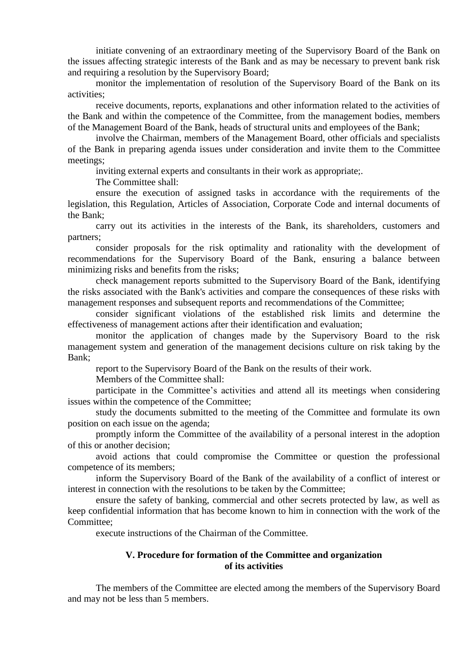initiate convening of an extraordinary meeting of the Supervisory Board of the Bank on the issues affecting strategic interests of the Bank and as may be necessary to prevent bank risk and requiring a resolution by the Supervisory Board;

monitor the implementation of resolution of the Supervisory Board of the Bank on its activities;

receive documents, reports, explanations and other information related to the activities of the Bank and within the competence of the Committee, from the management bodies, members of the Management Board of the Bank, heads of structural units and employees of the Bank;

involve the Chairman, members of the Management Board, other officials and specialists of the Bank in preparing agenda issues under consideration and invite them to the Committee meetings;

inviting external experts and consultants in their work as appropriate;.

The Committee shall:

ensure the execution of assigned tasks in accordance with the requirements of the legislation, this Regulation, Articles of Association, Corporate Code and internal documents of the Bank;

carry out its activities in the interests of the Bank, its shareholders, customers and partners;

consider proposals for the risk optimality and rationality with the development of recommendations for the Supervisory Board of the Bank, ensuring a balance between minimizing risks and benefits from the risks;

check management reports submitted to the Supervisory Board of the Bank, identifying the risks associated with the Bank's activities and compare the consequences of these risks with management responses and subsequent reports and recommendations of the Committee:

consider significant violations of the established risk limits and determine the effectiveness of management actions after their identification and evaluation;

monitor the application of changes made by the Supervisory Board to the risk management system and generation of the management decisions culture on risk taking by the Bank;

report to the Supervisory Board of the Bank on the results of their work.

Members of the Committee shall:

participate in the Committee's activities and attend all its meetings when considering issues within the competence of the Committee;

study the documents submitted to the meeting of the Committee and formulate its own position on each issue on the agenda;

promptly inform the Committee of the availability of a personal interest in the adoption of this or another decision;

avoid actions that could compromise the Committee or question the professional competence of its members;

inform the Supervisory Board of the Bank of the availability of a conflict of interest or interest in connection with the resolutions to be taken by the Committee;

ensure the safety of banking, commercial and other secrets protected by law, as well as keep confidential information that has become known to him in connection with the work of the Committee;

execute instructions of the Chairman of the Committee.

# **V. Procedure for formation of the Committee and organization of its activities**

The members of the Committee are elected among the members of the Supervisory Board and may not be less than 5 members.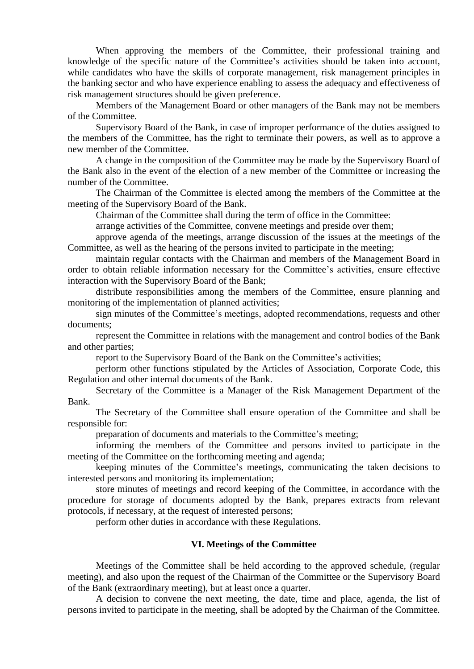When approving the members of the Committee, their professional training and knowledge of the specific nature of the Committee's activities should be taken into account, while candidates who have the skills of corporate management, risk management principles in the banking sector and who have experience enabling to assess the adequacy and effectiveness of risk management structures should be given preference.

Members of the Management Board or other managers of the Bank may not be members of the Committee.

Supervisory Board of the Bank, in case of improper performance of the duties assigned to the members of the Committee, has the right to terminate their powers, as well as to approve a new member of the Committee.

A change in the composition of the Committee may be made by the Supervisory Board of the Bank also in the event of the election of a new member of the Committee or increasing the number of the Committee.

The Chairman of the Committee is elected among the members of the Committee at the meeting of the Supervisory Board of the Bank.

Chairman of the Committee shall during the term of office in the Committee:

arrange activities of the Committee, convene meetings and preside over them;

approve agenda of the meetings, arrange discussion of the issues at the meetings of the Committee, as well as the hearing of the persons invited to participate in the meeting;

maintain regular contacts with the Chairman and members of the Management Board in order to obtain reliable information necessary for the Committee's activities, ensure effective interaction with the Supervisory Board of the Bank;

distribute responsibilities among the members of the Committee, ensure planning and monitoring of the implementation of planned activities;

sign minutes of the Committee's meetings, adopted recommendations, requests and other documents;

represent the Committee in relations with the management and control bodies of the Bank and other parties;

report to the Supervisory Board of the Bank on the Committee's activities;

perform other functions stipulated by the Articles of Association, Corporate Code, this Regulation and other internal documents of the Bank.

Secretary of the Committee is a Manager of the Risk Management Department of the Bank.

The Secretary of the Committee shall ensure operation of the Committee and shall be responsible for:

preparation of documents and materials to the Committee's meeting;

informing the members of the Committee and persons invited to participate in the meeting of the Committee on the forthcoming meeting and agenda;

keeping minutes of the Committee's meetings, communicating the taken decisions to interested persons and monitoring its implementation;

store minutes of meetings and record keeping of the Committee, in accordance with the procedure for storage of documents adopted by the Bank, prepares extracts from relevant protocols, if necessary, at the request of interested persons;

perform other duties in accordance with these Regulations.

### **VI. Meetings of the Committee**

Meetings of the Committee shall be held according to the approved schedule, (regular meeting), and also upon the request of the Chairman of the Committee or the Supervisory Board of the Bank (extraordinary meeting), but at least once a quarter.

A decision to convene the next meeting, the date, time and place, agenda, the list of persons invited to participate in the meeting, shall be adopted by the Chairman of the Committee.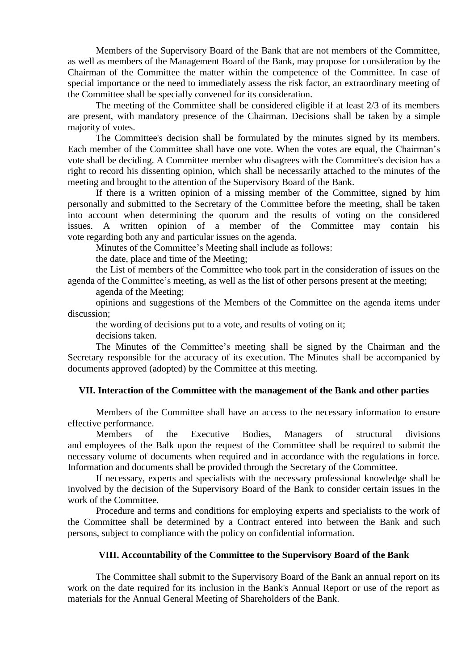Members of the Supervisory Board of the Bank that are not members of the Committee, as well as members of the Management Board of the Bank, may propose for consideration by the Chairman of the Committee the matter within the competence of the Committee. In case of special importance or the need to immediately assess the risk factor, an extraordinary meeting of the Committee shall be specially convened for its consideration.

The meeting of the Committee shall be considered eligible if at least 2/3 of its members are present, with mandatory presence of the Chairman. Decisions shall be taken by a simple majority of votes.

The Committee's decision shall be formulated by the minutes signed by its members. Each member of the Committee shall have one vote. When the votes are equal, the Chairman's vote shall be deciding. A Committee member who disagrees with the Committee's decision has a right to record his dissenting opinion, which shall be necessarily attached to the minutes of the meeting and brought to the attention of the Supervisory Board of the Bank.

If there is a written opinion of a missing member of the Committee, signed by him personally and submitted to the Secretary of the Committee before the meeting, shall be taken into account when determining the quorum and the results of voting on the considered issues. A written opinion of a member of the Committee may contain his vote regarding both any and particular issues on the agenda.

Minutes of the Committee's Meeting shall include as follows:

the date, place and time of the Meeting;

the List of members of the Committee who took part in the consideration of issues on the agenda of the Committee's meeting, as well as the list of other persons present at the meeting;

agenda of the Meeting;

opinions and suggestions of the Members of the Committee on the agenda items under discussion;

the wording of decisions put to a vote, and results of voting on it;

decisions taken.

The Minutes of the Committee's meeting shall be signed by the Chairman and the Secretary responsible for the accuracy of its execution. The Minutes shall be accompanied by documents approved (adopted) by the Committee at this meeting.

### **VII. Interaction of the Committee with the management of the Bank and other parties**

Members of the Committee shall have an access to the necessary information to ensure effective performance.

Members of the Executive Bodies, Managers of structural divisions and employees of the Balk upon the request of the Committee shall be required to submit the necessary volume of documents when required and in accordance with the regulations in force. Information and documents shall be provided through the Secretary of the Committee.

If necessary, experts and specialists with the necessary professional knowledge shall be involved by the decision of the Supervisory Board of the Bank to consider certain issues in the work of the Committee.

Procedure and terms and conditions for employing experts and specialists to the work of the Committee shall be determined by a Contract entered into between the Bank and such persons, subject to compliance with the policy on confidential information.

### **VIII. Accountability of the Committee to the Supervisory Board of the Bank**

The Committee shall submit to the Supervisory Board of the Bank an annual report on its work on the date required for its inclusion in the Bank's Annual Report or use of the report as materials for the Annual General Meeting of Shareholders of the Bank.